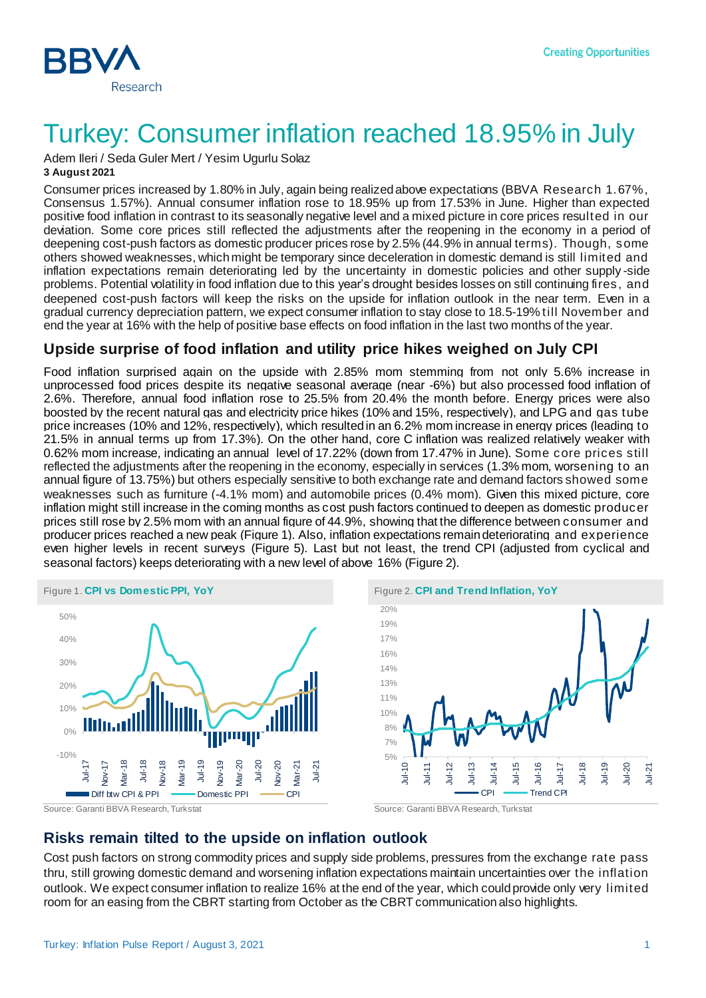

# Turkey: Consumer inflation reached 18.95% in July

Adem Ileri / Seda Guler Mert / Yesim Ugurlu Solaz **3 August 2021**

Consumer prices increased by 1.80% in July, again being realized above expectations (BBVA Research 1.67%, Consensus 1.57%). Annual consumer inflation rose to 18.95% up from 17.53% in June. Higher than expected positive food inflation in contrast to its seasonally negative level and a mixed picture in core prices resulted in our deviation. Some core prices still reflected the adjustments after the reopening in the economy in a period of deepening cost-push factors as domestic producer prices rose by 2.5% (44.9% in annual terms). Though, some others showed weaknesses, which might be temporary since deceleration in domestic demand is still limited and inflation expectations remain deteriorating led by the uncertainty in domestic policies and other supply -side problems. Potential volatility in food inflation due to this year's drought besides losses on still continuing fires, and deepened cost-push factors will keep the risks on the upside for inflation outlook in the near term. Even in a gradual currency depreciation pattern, we expect consumer inflation to stay close to 18.5-19% till November and end the year at 16% with the help of positive base effects on food inflation in the last two months of the year.

### **Upside surprise of food inflation and utility price hikes weighed on July CPI**

Food inflation surprised again on the upside with 2.85% mom stemming from not only 5.6% increase in unprocessed food prices despite its negative seasonal average (near -6%) but also processed food inflation of 2.6%. Therefore, annual food inflation rose to 25.5% from 20.4% the month before. Energy prices were also boosted by the recent natural gas and electricity price hikes (10% and 15%, respectively), and LPG and gas tube price increases (10% and 12%, respectively), which resultedin an 6.2% mom increase in energy prices (leading to 21.5% in annual terms up from 17.3%). On the other hand, core C inflation was realized relatively weaker with 0.62% mom increase, indicating an annual level of 17.22% (down from 17.47% in June). Some core prices still reflected the adjustments after the reopening in the economy, especially in services (1.3% mom, worsening to an annual figure of 13.75%) but others especially sensitive to both exchange rate and demand factors showed some weaknesses such as furniture (-4.1% mom) and automobile prices (0.4% mom). Given this mixed picture, core inflation might still increase in the coming months as cost push factors continued to deepen as domestic producer prices still rose by 2.5% mom with an annual figure of 44.9%, showing that the difference between consumer and producer prices reached a new peak (Figure 1). Also, inflation expectations remain deteriorating and experience even higher levels in recent surveys (Figure 5). Last but not least, the trend CPI (adjusted from cyclical and seasonal factors) keeps deteriorating with a new level of above 16% (Figure 2).







Source: Garanti BBVA Research, Turkstat Source: Garanti BBVA Research, Turkstat

### **Risks remain tilted to the upside on inflation outlook**

Cost push factors on strong commodity prices and supply side problems, pressures from the exchange rate pass thru, still growing domestic demand and worsening inflation expectations maintain uncertainties over the inflation outlook. We expect consumer inflation to realize 16% at the end of the year, which could provide only very limited room for an easing from the CBRT starting from October as the CBRT communication also highlights.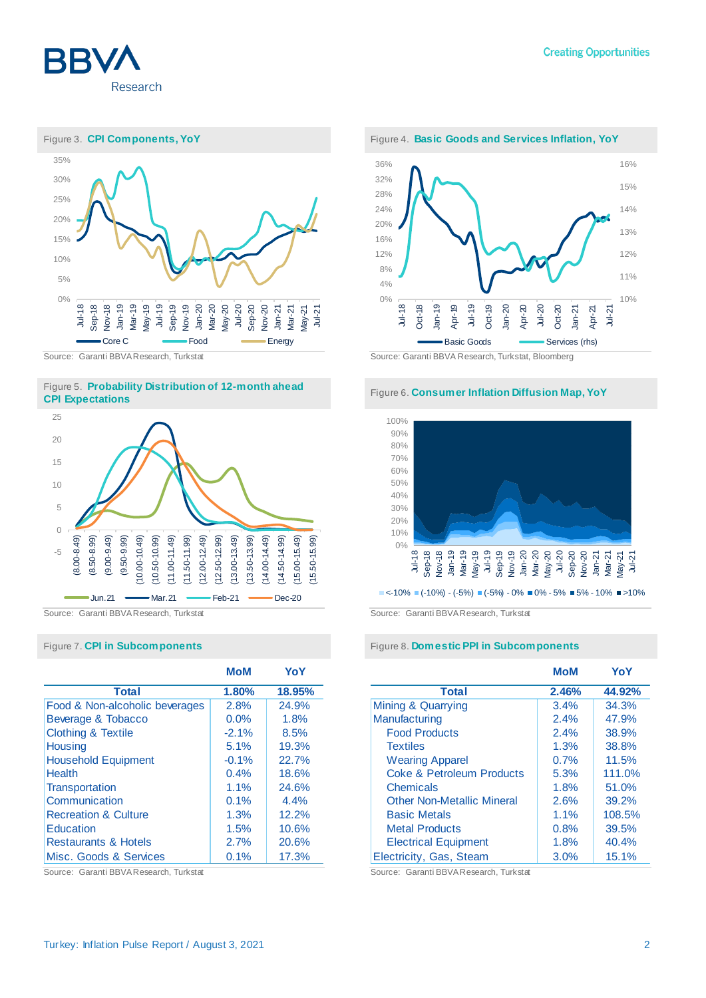









|                                 | <b>MoM</b> | YoY    |
|---------------------------------|------------|--------|
| <b>Total</b>                    | 1.80%      | 18.95% |
| Food & Non-alcoholic beverages  | 2.8%       | 24.9%  |
| Beverage & Tobacco              | 0.0%       | 1.8%   |
| <b>Clothing &amp; Textile</b>   | $-2.1%$    | 8.5%   |
| <b>Housing</b>                  | 5.1%       | 19.3%  |
| <b>Household Equipment</b>      | $-0.1%$    | 22.7%  |
| <b>Health</b>                   | 0.4%       | 18.6%  |
| Transportation                  | 1.1%       | 24.6%  |
| Communication                   | 0.1%       | 4.4%   |
| <b>Recreation &amp; Culture</b> | 1.3%       | 12.2%  |
| Education                       | 1.5%       | 10.6%  |
| <b>Restaurants &amp; Hotels</b> | 2.7%       | 20.6%  |
| Misc. Goods & Services          | 0.1%       | 17.3%  |

Source: Garanti BBVA Research, Turkstat Source: Garanti BBVA Research, Turkstat



Source: Garanti BBVA Research, Turkstat Source: Garanti BBVA Research, Turkstat, Bloomberg



Source: Garanti BBVA Research, Turkstat Source: Garanti BBVA Research, Turkstat

### Figure 7. **CPI in Subcomponents** Figure 8. **Domestic PPI in Subcomponents**

|                                      | MoM   | YoY    |
|--------------------------------------|-------|--------|
| <b>Total</b>                         | 2.46% | 44.92% |
| Mining & Quarrying                   | 3.4%  | 34.3%  |
| Manufacturing                        | 2.4%  | 47.9%  |
| <b>Food Products</b>                 | 2.4%  | 38.9%  |
| <b>Textiles</b>                      | 1.3%  | 38.8%  |
| <b>Wearing Apparel</b>               | 0.7%  | 11.5%  |
| <b>Coke &amp; Petroleum Products</b> | 5.3%  | 111.0% |
| Chemicals                            | 1.8%  | 51.0%  |
| <b>Other Non-Metallic Mineral</b>    | 2.6%  | 39.2%  |
| <b>Basic Metals</b>                  | 1.1%  | 108.5% |
| <b>Metal Products</b>                | 0.8%  | 39.5%  |
| <b>Electrical Equipment</b>          | 1.8%  | 40.4%  |
| Electricity, Gas, Steam              | 3.0%  | 15.1%  |